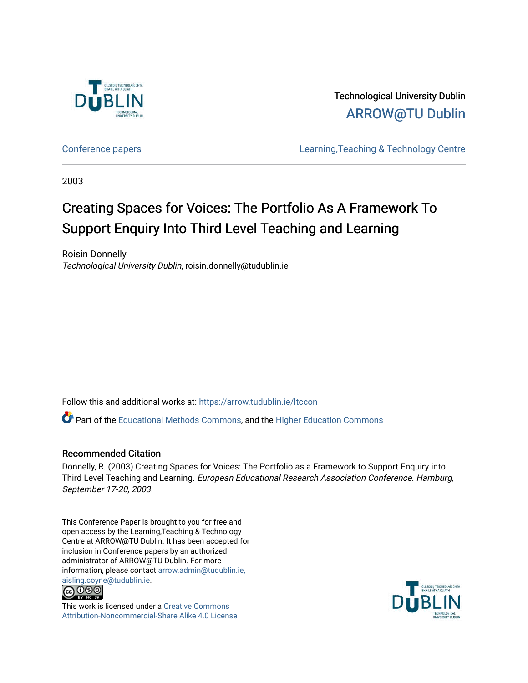

Technological University Dublin [ARROW@TU Dublin](https://arrow.tudublin.ie/) 

[Conference papers](https://arrow.tudublin.ie/ltccon) [Learning,Teaching & Technology Centre](https://arrow.tudublin.ie/ltc) 

2003

# Creating Spaces for Voices: The Portfolio As A Framework To Support Enquiry Into Third Level Teaching and Learning

Roisin Donnelly Technological University Dublin, roisin.donnelly@tudublin.ie

Follow this and additional works at: [https://arrow.tudublin.ie/ltccon](https://arrow.tudublin.ie/ltccon?utm_source=arrow.tudublin.ie%2Fltccon%2F22&utm_medium=PDF&utm_campaign=PDFCoverPages)

Part of the [Educational Methods Commons,](http://network.bepress.com/hgg/discipline/1227?utm_source=arrow.tudublin.ie%2Fltccon%2F22&utm_medium=PDF&utm_campaign=PDFCoverPages) and the [Higher Education Commons](http://network.bepress.com/hgg/discipline/1245?utm_source=arrow.tudublin.ie%2Fltccon%2F22&utm_medium=PDF&utm_campaign=PDFCoverPages) 

# Recommended Citation

Donnelly, R. (2003) Creating Spaces for Voices: The Portfolio as a Framework to Support Enquiry into Third Level Teaching and Learning. European Educational Research Association Conference. Hamburg, September 17-20, 2003.

This Conference Paper is brought to you for free and open access by the Learning,Teaching & Technology Centre at ARROW@TU Dublin. It has been accepted for inclusion in Conference papers by an authorized administrator of ARROW@TU Dublin. For more information, please contact [arrow.admin@tudublin.ie,](mailto:arrow.admin@tudublin.ie,%20aisling.coyne@tudublin.ie)  [aisling.coyne@tudublin.ie.](mailto:arrow.admin@tudublin.ie,%20aisling.coyne@tudublin.ie)<br>© 090



This work is licensed under a [Creative Commons](http://creativecommons.org/licenses/by-nc-sa/4.0/) [Attribution-Noncommercial-Share Alike 4.0 License](http://creativecommons.org/licenses/by-nc-sa/4.0/)

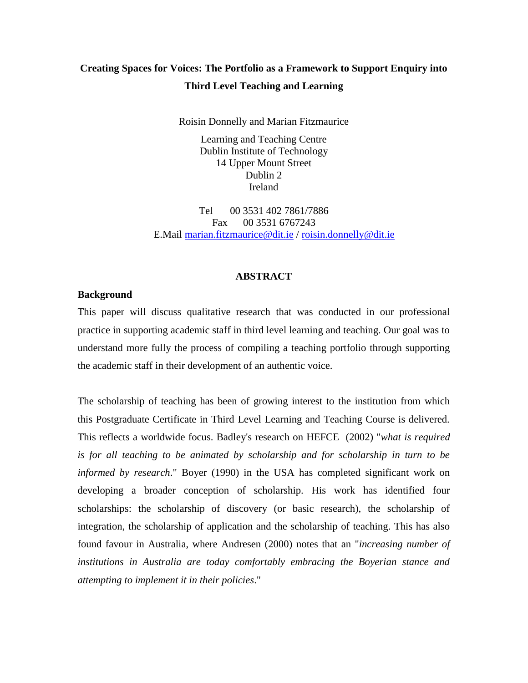# **Creating Spaces for Voices: The Portfolio as a Framework to Support Enquiry into Third Level Teaching and Learning**

Roisin Donnelly and Marian Fitzmaurice

Learning and Teaching Centre Dublin Institute of Technology 14 Upper Mount Street Dublin 2 Ireland

Tel 00 3531 402 7861/7886 Fax 00 3531 6767243 E.Mail [marian.fitzmaurice@dit.ie](mailto:marian.fitzmaurice@dit.ie) / [roisin.donnelly@dit.ie](mailto:roisin.donnelly@dit.ie)

# **ABSTRACT**

# **Background**

This paper will discuss qualitative research that was conducted in our professional practice in supporting academic staff in third level learning and teaching. Our goal was to understand more fully the process of compiling a teaching portfolio through supporting the academic staff in their development of an authentic voice.

The scholarship of teaching has been of growing interest to the institution from which this Postgraduate Certificate in Third Level Learning and Teaching Course is delivered. This reflects a worldwide focus. Badley's research on HEFCE (2002) "*what is required*  is for all teaching to be animated by scholarship and for scholarship in turn to be *informed by research*." Boyer (1990) in the USA has completed significant work on developing a broader conception of scholarship. His work has identified four scholarships: the scholarship of discovery (or basic research), the scholarship of integration, the scholarship of application and the scholarship of teaching. This has also found favour in Australia, where Andresen (2000) notes that an "*increasing number of institutions in Australia are today comfortably embracing the Boyerian stance and attempting to implement it in their policies*."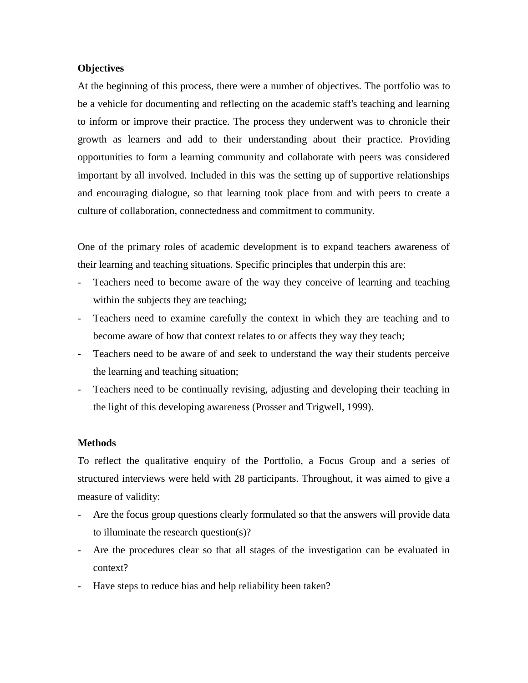# **Objectives**

At the beginning of this process, there were a number of objectives. The portfolio was to be a vehicle for documenting and reflecting on the academic staff's teaching and learning to inform or improve their practice. The process they underwent was to chronicle their growth as learners and add to their understanding about their practice. Providing opportunities to form a learning community and collaborate with peers was considered important by all involved. Included in this was the setting up of supportive relationships and encouraging dialogue, so that learning took place from and with peers to create a culture of collaboration, connectedness and commitment to community.

One of the primary roles of academic development is to expand teachers awareness of their learning and teaching situations. Specific principles that underpin this are:

- Teachers need to become aware of the way they conceive of learning and teaching within the subjects they are teaching;
- Teachers need to examine carefully the context in which they are teaching and to become aware of how that context relates to or affects they way they teach;
- Teachers need to be aware of and seek to understand the way their students perceive the learning and teaching situation;
- Teachers need to be continually revising, adjusting and developing their teaching in the light of this developing awareness (Prosser and Trigwell, 1999).

# **Methods**

To reflect the qualitative enquiry of the Portfolio, a Focus Group and a series of structured interviews were held with 28 participants. Throughout, it was aimed to give a measure of validity:

- Are the focus group questions clearly formulated so that the answers will provide data to illuminate the research question(s)?
- Are the procedures clear so that all stages of the investigation can be evaluated in context?
- Have steps to reduce bias and help reliability been taken?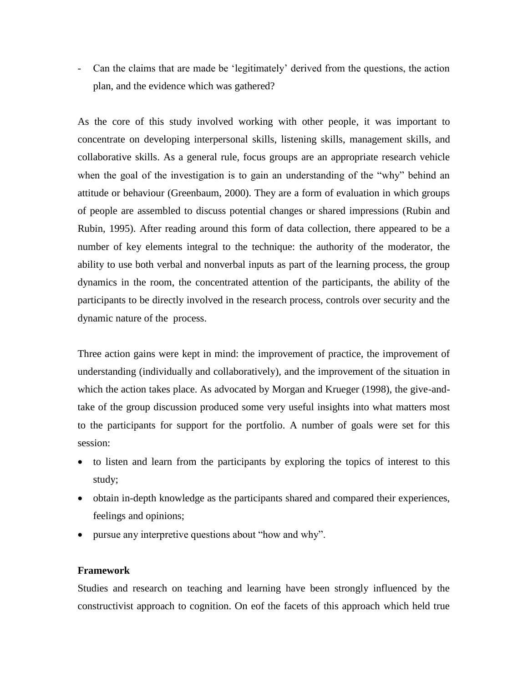- Can the claims that are made be 'legitimately' derived from the questions, the action plan, and the evidence which was gathered?

As the core of this study involved working with other people, it was important to concentrate on developing interpersonal skills, listening skills, management skills, and collaborative skills. As a general rule, focus groups are an appropriate research vehicle when the goal of the investigation is to gain an understanding of the "why" behind an attitude or behaviour (Greenbaum, 2000). They are a form of evaluation in which groups of people are assembled to discuss potential changes or shared impressions (Rubin and Rubin, 1995). After reading around this form of data collection, there appeared to be a number of key elements integral to the technique: the authority of the moderator, the ability to use both verbal and nonverbal inputs as part of the learning process, the group dynamics in the room, the concentrated attention of the participants, the ability of the participants to be directly involved in the research process, controls over security and the dynamic nature of the process.

Three action gains were kept in mind: the improvement of practice, the improvement of understanding (individually and collaboratively), and the improvement of the situation in which the action takes place. As advocated by Morgan and Krueger (1998), the give-andtake of the group discussion produced some very useful insights into what matters most to the participants for support for the portfolio. A number of goals were set for this session:

- to listen and learn from the participants by exploring the topics of interest to this study;
- obtain in-depth knowledge as the participants shared and compared their experiences, feelings and opinions;
- pursue any interpretive questions about "how and why".

# **Framework**

Studies and research on teaching and learning have been strongly influenced by the constructivist approach to cognition. On eof the facets of this approach which held true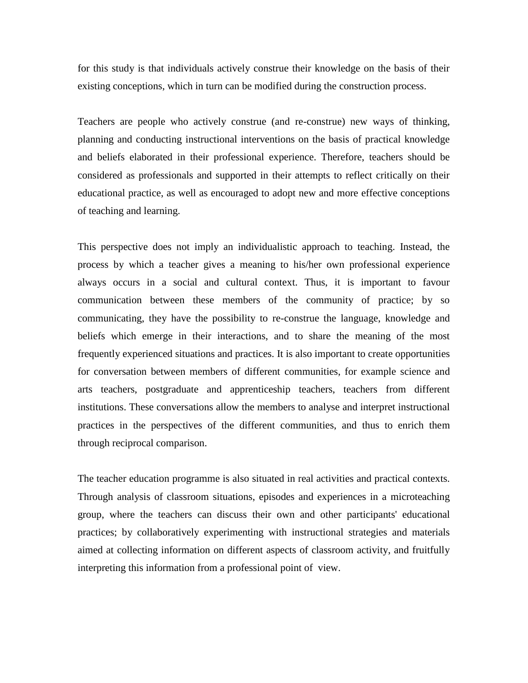for this study is that individuals actively construe their knowledge on the basis of their existing conceptions, which in turn can be modified during the construction process.

Teachers are people who actively construe (and re-construe) new ways of thinking, planning and conducting instructional interventions on the basis of practical knowledge and beliefs elaborated in their professional experience. Therefore, teachers should be considered as professionals and supported in their attempts to reflect critically on their educational practice, as well as encouraged to adopt new and more effective conceptions of teaching and learning.

This perspective does not imply an individualistic approach to teaching. Instead, the process by which a teacher gives a meaning to his/her own professional experience always occurs in a social and cultural context. Thus, it is important to favour communication between these members of the community of practice; by so communicating, they have the possibility to re-construe the language, knowledge and beliefs which emerge in their interactions, and to share the meaning of the most frequently experienced situations and practices. It is also important to create opportunities for conversation between members of different communities, for example science and arts teachers, postgraduate and apprenticeship teachers, teachers from different institutions. These conversations allow the members to analyse and interpret instructional practices in the perspectives of the different communities, and thus to enrich them through reciprocal comparison.

The teacher education programme is also situated in real activities and practical contexts. Through analysis of classroom situations, episodes and experiences in a microteaching group, where the teachers can discuss their own and other participants' educational practices; by collaboratively experimenting with instructional strategies and materials aimed at collecting information on different aspects of classroom activity, and fruitfully interpreting this information from a professional point of view.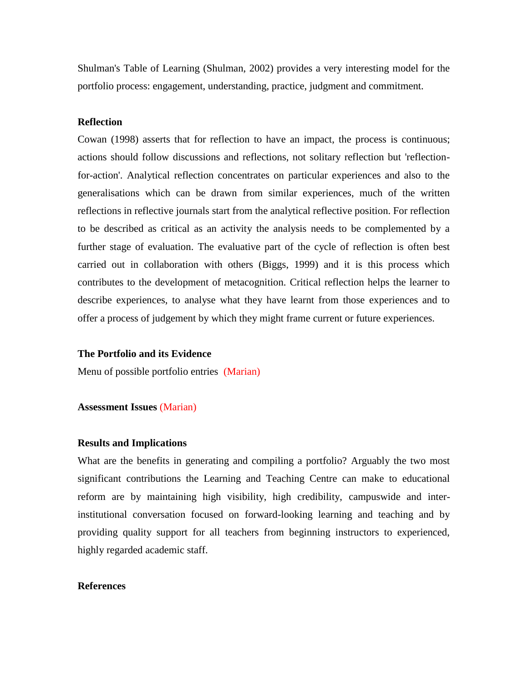Shulman's Table of Learning (Shulman, 2002) provides a very interesting model for the portfolio process: engagement, understanding, practice, judgment and commitment.

## **Reflection**

Cowan (1998) asserts that for reflection to have an impact, the process is continuous; actions should follow discussions and reflections, not solitary reflection but 'reflectionfor-action'. Analytical reflection concentrates on particular experiences and also to the generalisations which can be drawn from similar experiences, much of the written reflections in reflective journals start from the analytical reflective position. For reflection to be described as critical as an activity the analysis needs to be complemented by a further stage of evaluation. The evaluative part of the cycle of reflection is often best carried out in collaboration with others (Biggs, 1999) and it is this process which contributes to the development of metacognition. Critical reflection helps the learner to describe experiences, to analyse what they have learnt from those experiences and to offer a process of judgement by which they might frame current or future experiences.

#### **The Portfolio and its Evidence**

Menu of possible portfolio entries (Marian)

#### **Assessment Issues** (Marian)

#### **Results and Implications**

What are the benefits in generating and compiling a portfolio? Arguably the two most significant contributions the Learning and Teaching Centre can make to educational reform are by maintaining high visibility, high credibility, campuswide and interinstitutional conversation focused on forward-looking learning and teaching and by providing quality support for all teachers from beginning instructors to experienced, highly regarded academic staff.

## **References**